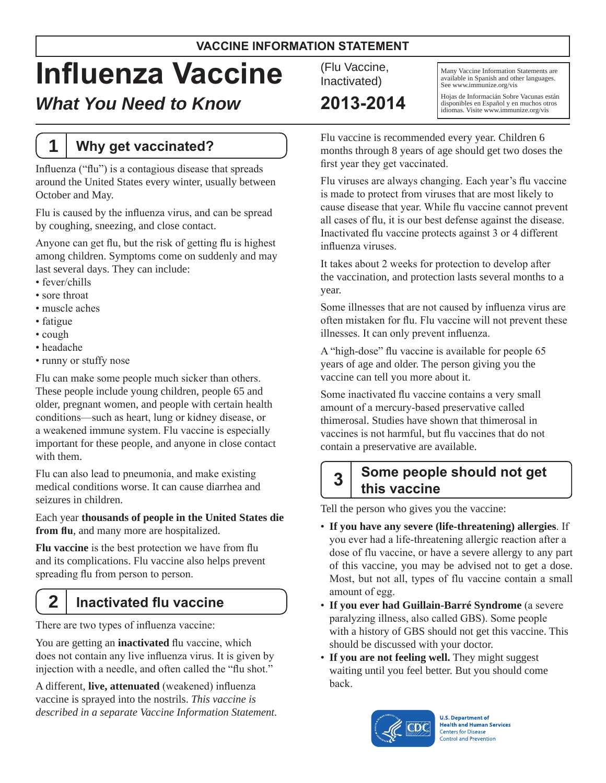#### **VACCINE INFORMATION STATEMENT**

# **Influenza Vaccine**

## *What You Need to Know*

## **1 Why get vaccinated?**

Influenza ("flu") is a contagious disease that spreads around the United States every winter, usually between October and May.

Flu is caused by the influenza virus, and can be spread by coughing, sneezing, and close contact.

Anyone can get flu, but the risk of getting flu is highest among children. Symptoms come on suddenly and may last several days. They can include:

- fever/chills
- sore throat
- muscle aches
- fatigue
- cough
- headache
- runny or stuffy nose

Flu can make some people much sicker than others. These people include young children, people 65 and older, pregnant women, and people with certain health conditions—such as heart, lung or kidney disease, or a weakened immune system. Flu vaccine is especially important for these people, and anyone in close contact with them.

Flu can also lead to pneumonia, and make existing medical conditions worse. It can cause diarrhea and seizures in children.

Each year **thousands of people in the United States die from flu**, and many more are hospitalized.

**Flu vaccine** is the best protection we have from flu and its complications. Flu vaccine also helps prevent spreading flu from person to person.

## **2 Inactivated flu vaccine**

There are two types of influenza vaccine:

You are getting an **inactivated** flu vaccine, which does not contain any live influenza virus. It is given by injection with a needle, and often called the "flu shot."

A different, **live, attenuated** (weakened) influenza vaccine is sprayed into the nostrils. *This vaccine is described in a separate Vaccine Information Statement.* (Flu Vaccine, Inactivated)

**2013-2014**

Many Vaccine Information Statements are available in Spanish and other languages. See [www.immunize.org/vis](http://www.immunize.org/vis)

Hojas de Informacián Sobre Vacunas están disponibles en Español y en muchos otros idiomas. Visite [www.immunize.org/vis](http://www.immunize.org/vis)

Flu vaccine is recommended every year. Children 6 months through 8 years of age should get two doses the first year they get vaccinated.

Flu viruses are always changing. Each year's flu vaccine is made to protect from viruses that are most likely to cause disease that year. While flu vaccine cannot prevent all cases of flu, it is our best defense against the disease. Inactivated flu vaccine protects against 3 or 4 different influenza viruses.

It takes about 2 weeks for protection to develop after the vaccination, and protection lasts several months to a year.

Some illnesses that are not caused by influenza virus are often mistaken for flu. Flu vaccine will not prevent these illnesses. It can only prevent influenza.

A "high-dose" flu vaccine is available for people 65 years of age and older. The person giving you the vaccine can tell you more about it.

Some inactivated flu vaccine contains a very small amount of a mercury-based preservative called thimerosal. Studies have shown that thimerosal in vaccines is not harmful, but flu vaccines that do not contain a preservative are available.

## **3 Some people should not get this vaccine**

Tell the person who gives you the vaccine:

- **If you have any severe (life-threatening) allergies**. If you ever had a life-threatening allergic reaction after a dose of flu vaccine, or have a severe allergy to any part of this vaccine, you may be advised not to get a dose. Most, but not all, types of flu vaccine contain a small amount of egg.
- **If you ever had Guillain-Barré Syndrome** (a severe paralyzing illness, also called GBS). Some people with a history of GBS should not get this vaccine. This should be discussed with your doctor.
- If you are not feeling well. They might suggest waiting until you feel better. But you should come back.



**U.S. Department of Health and Human Services Centers for Disease Control and Prevention**